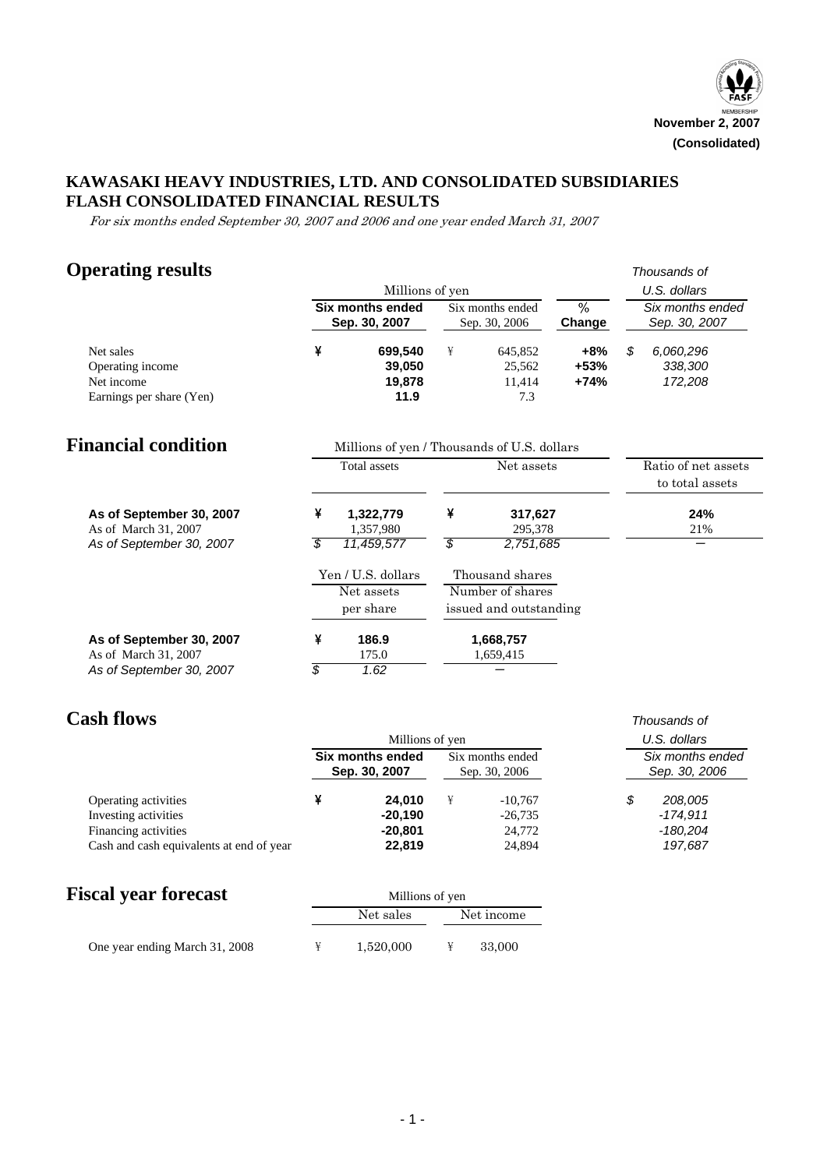

## **KAWASAKI HEAVY INDUSTRIES, LTD. AND CONSOLIDATED SUBSIDIARIES FLASH CONSOLIDATED FINANCIAL RESULTS**

For six months ended September 30, 2007 and 2006 and one year ended March 31, 2007

# **Operating results** *Thousands of*

|                                                                         |    | Millions of yen                             |    |                                    | U.S. dollars          |    |                                        |  |
|-------------------------------------------------------------------------|----|---------------------------------------------|----|------------------------------------|-----------------------|----|----------------------------------------|--|
|                                                                         |    | <b>Six months ended</b><br>Sep. 30, 2007    |    | Six months ended<br>Sep. 30, 2006  | %<br>Change           |    | Six months ended<br>Sep. 30, 2007      |  |
| Net sales<br>Operating income<br>Net income<br>Earnings per share (Yen) | ¥  | 699,540<br>39,050<br>19,878<br>11.9         | ¥  | 645,852<br>25,562<br>11,414<br>7.3 | +8%<br>$+53%$<br>+74% | \$ | 6,060,296<br>338,300<br>172,208        |  |
| <b>Financial condition</b>                                              |    | Millions of yen / Thousands of U.S. dollars |    |                                    |                       |    |                                        |  |
|                                                                         |    | Total assets                                |    | Net assets                         |                       |    | Ratio of net assets<br>to total assets |  |
| As of September 30, 2007<br>As of March 31, 2007                        | ¥  | 1,322,779<br>1,357,980                      | ¥  | 317,627<br>295,378                 |                       |    | 24%<br>21%                             |  |
| As of September 30, 2007                                                | \$ | 11,459,577                                  | \$ | 2,751,685                          |                       |    |                                        |  |
|                                                                         |    | Yen / U.S. dollars                          |    | Thousand shares                    |                       |    |                                        |  |
|                                                                         |    | Net assets                                  |    | Number of shares                   |                       |    |                                        |  |
|                                                                         |    | per share                                   |    | issued and outstanding             |                       |    |                                        |  |
| As of September 30, 2007                                                | ¥  | 186.9                                       |    | 1,668,757                          |                       |    |                                        |  |
| As of March 31, 2007                                                    |    | 175.0                                       |    | 1,659,415                          |                       |    |                                        |  |
| As of September 30, 2007                                                | \$ | 1.62                                        |    |                                    |                       |    |                                        |  |

*As of September 30, 2007*  $\sqrt{$}$  7.62

# **Cash flows** *Thousands of*

|                                          | Millions of yen                   | U.S. dollars                      |                                   |            |  |
|------------------------------------------|-----------------------------------|-----------------------------------|-----------------------------------|------------|--|
|                                          | Six months ended<br>Sep. 30, 2007 | Six months ended<br>Sep. 30, 2006 | Six months ended<br>Sep. 30, 2006 |            |  |
| Operating activities                     | 24.010                            | $-10,767$                         |                                   | 208,005    |  |
| Investing activities                     | $-20.190$                         | $-26,735$                         |                                   | $-174.911$ |  |
| Financing activities                     | $-20,801$                         | 24,772                            |                                   | $-180,204$ |  |
| Cash and cash equivalents at end of year | 22,819                            | 24,894                            |                                   | 197,687    |  |

## **Fiscal year forecast** Millions of yen

| ISCAL YEAL TULECASE            |           | <b>NUTTIONS</b> OF ACT |            |  |  |  |
|--------------------------------|-----------|------------------------|------------|--|--|--|
|                                | Net sales |                        | Net income |  |  |  |
| One year ending March 31, 2008 | 1.520.000 |                        | 33,000     |  |  |  |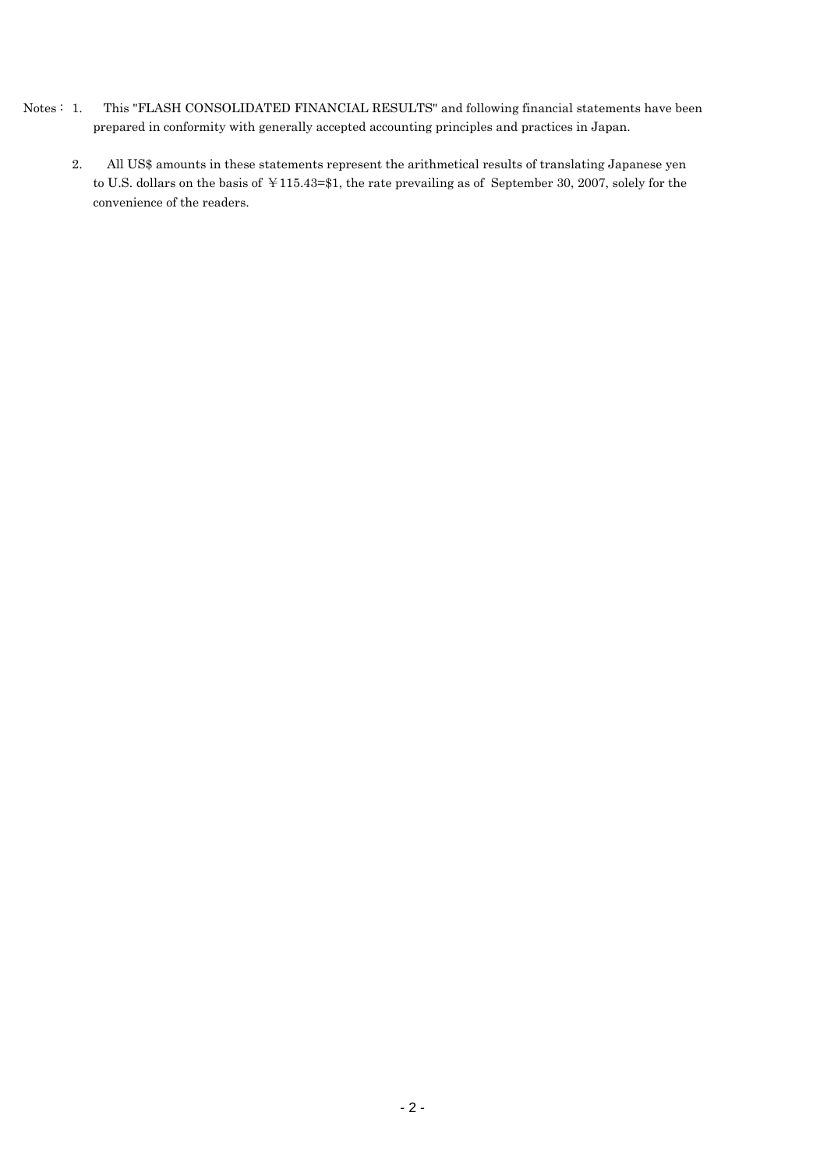- Notes : 1. This "FLASH CONSOLIDATED FINANCIAL RESULTS" and following financial statements have been prepared in conformity with generally accepted accounting principles and practices in Japan.
	- 2. All US\$ amounts in these statements represent the arithmetical results of translating Japanese yen to U.S. dollars on the basis of ¥115.43=\$1, the rate prevailing as of September 30, 2007, solely for the convenience of the readers.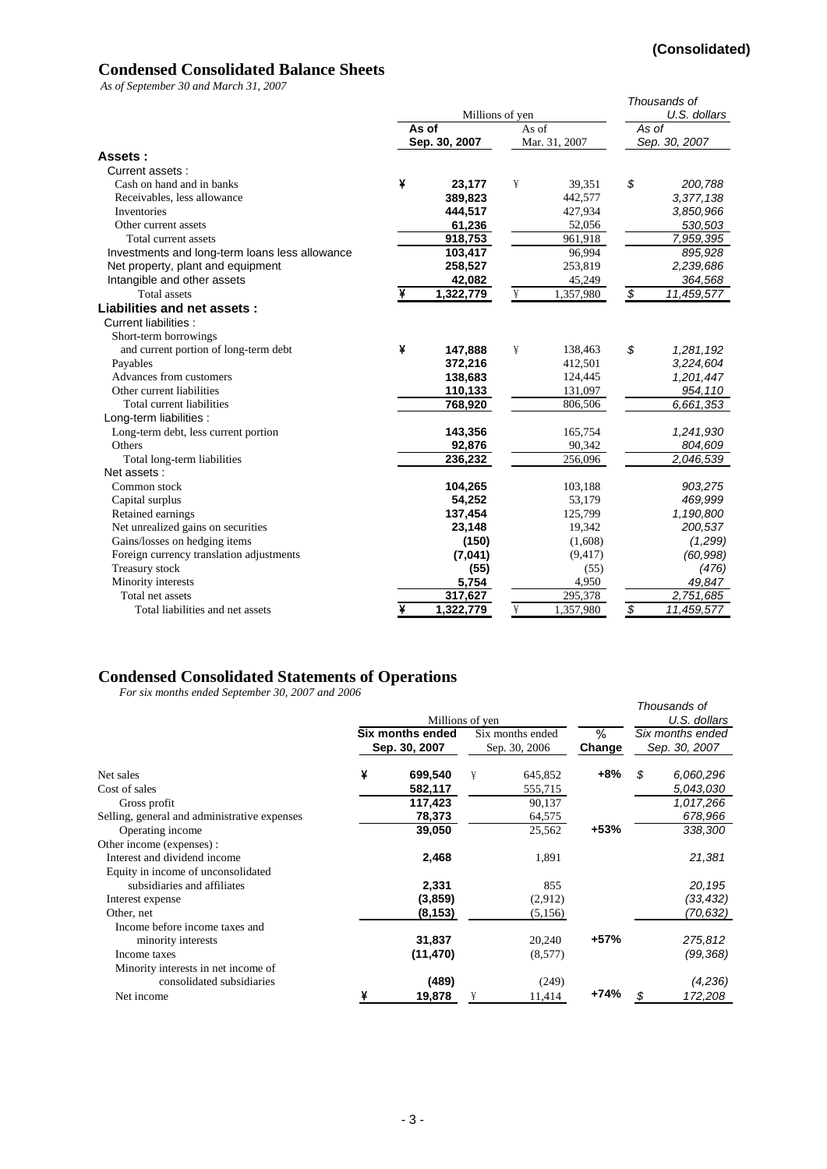## **Condensed Consolidated Balance Sheets**

*As of September 30 and March 31, 2007*

|                                                |   | Millions of yen | Thousands of<br>U.S. dollars |               |                          |               |
|------------------------------------------------|---|-----------------|------------------------------|---------------|--------------------------|---------------|
|                                                |   | As of           | As of                        |               | As of                    |               |
|                                                |   | Sep. 30, 2007   |                              | Mar. 31, 2007 |                          | Sep. 30, 2007 |
| Assets:                                        |   |                 |                              |               |                          |               |
| Current assets:                                |   |                 |                              |               |                          |               |
| Cash on hand and in banks                      | ¥ | 23,177          | ¥                            | 39,351        | \$                       | 200,788       |
| Receivables, less allowance                    |   | 389,823         |                              | 442,577       |                          | 3,377,138     |
| Inventories                                    |   | 444,517         |                              | 427,934       |                          | 3,850,966     |
| Other current assets                           |   | 61,236          |                              | 52,056        |                          | 530,503       |
| Total current assets                           |   | 918,753         |                              | 961,918       |                          | 7,959,395     |
| Investments and long-term loans less allowance |   | 103,417         |                              | 96,994        |                          | 895,928       |
| Net property, plant and equipment              |   | 258,527         |                              | 253,819       |                          | 2,239,686     |
| Intangible and other assets                    |   | 42,082          |                              | 45,249        |                          | 364,568       |
| <b>Total</b> assets                            |   | 1,322,779       | ¥                            | 1,357,980     | $\overline{\$}$          | 11,459,577    |
| Liabilities and net assets:                    |   |                 |                              |               |                          |               |
| <b>Current liabilities:</b>                    |   |                 |                              |               |                          |               |
| Short-term borrowings                          |   |                 |                              |               |                          |               |
| and current portion of long-term debt          | ¥ | 147,888         | ¥                            | 138,463       | \$                       | 1,281,192     |
| Payables                                       |   | 372,216         |                              | 412,501       |                          | 3,224,604     |
| Advances from customers                        |   | 138,683         |                              | 124,445       |                          | 1,201,447     |
| Other current liabilities                      |   | 110,133         |                              | 131,097       |                          | 954,110       |
| Total current liabilities                      |   | 768,920         |                              | 806,506       |                          | 6,661,353     |
| Long-term liabilities :                        |   |                 |                              |               |                          |               |
| Long-term debt, less current portion           |   | 143,356         |                              | 165,754       |                          | 1,241,930     |
| Others                                         |   | 92,876          |                              | 90,342        |                          | 804,609       |
| Total long-term liabilities                    |   | 236,232         |                              | 256,096       |                          | 2,046,539     |
| Net assets:                                    |   |                 |                              |               |                          |               |
| Common stock                                   |   | 104,265         |                              | 103,188       |                          | 903,275       |
| Capital surplus                                |   | 54,252          |                              | 53,179        |                          | 469,999       |
| Retained earnings                              |   | 137,454         |                              | 125,799       |                          | 1,190,800     |
| Net unrealized gains on securities             |   | 23,148          |                              | 19,342        |                          | 200,537       |
| Gains/losses on hedging items                  |   | (150)           |                              | (1,608)       |                          | (1,299)       |
| Foreign currency translation adjustments       |   | (7,041)         |                              | (9, 417)      |                          | (60, 998)     |
| Treasury stock                                 |   | (55)            |                              | (55)          |                          | (476)         |
| Minority interests                             |   | 5,754           |                              | 4,950         |                          | 49,847        |
| Total net assets                               |   | 317,627         |                              | 295,378       |                          | 2,751,685     |
| Total liabilities and net assets               | ¥ | 1,322,779       | ¥                            | 1,357,980     | $\overline{\mathcal{S}}$ | 11,459,577    |

#### **Condensed Consolidated Statements of Operations**

*For six months ended September 30, 2007 and 2006*

|                                              |                                   |           | Millions of yen |                                   |             |                                   | Thousands of<br>U.S. dollars |
|----------------------------------------------|-----------------------------------|-----------|-----------------|-----------------------------------|-------------|-----------------------------------|------------------------------|
|                                              | Six months ended<br>Sep. 30, 2007 |           |                 | Six months ended<br>Sep. 30, 2006 | %<br>Change | Six months ended<br>Sep. 30, 2007 |                              |
|                                              |                                   |           |                 |                                   |             |                                   |                              |
| Net sales                                    | ¥                                 | 699,540   | ¥               | 645,852                           | $+8%$       | \$                                | 6,060,296                    |
| Cost of sales                                |                                   | 582,117   |                 | 555,715                           |             |                                   | 5,043,030                    |
| Gross profit                                 |                                   | 117,423   |                 | 90,137                            |             |                                   | 1,017,266                    |
| Selling, general and administrative expenses |                                   | 78,373    |                 | 64,575                            |             |                                   | 678,966                      |
| Operating income                             |                                   | 39,050    |                 | 25,562                            | $+53%$      |                                   | 338,300                      |
| Other income (expenses):                     |                                   |           |                 |                                   |             |                                   |                              |
| Interest and dividend income                 |                                   | 2,468     |                 | 1,891                             |             |                                   | 21,381                       |
| Equity in income of unconsolidated           |                                   |           |                 |                                   |             |                                   |                              |
| subsidiaries and affiliates                  |                                   | 2,331     |                 | 855                               |             |                                   | 20,195                       |
| Interest expense                             |                                   | (3,859)   |                 | (2,912)                           |             |                                   | (33, 432)                    |
| Other, net                                   |                                   | (8,153)   |                 | (5,156)                           |             |                                   | (70,632)                     |
| Income before income taxes and               |                                   |           |                 |                                   |             |                                   |                              |
| minority interests                           |                                   | 31,837    |                 | 20,240                            | $+57%$      |                                   | 275,812                      |
| Income taxes                                 |                                   | (11, 470) |                 | (8,577)                           |             |                                   | (99,368)                     |
| Minority interests in net income of          |                                   |           |                 |                                   |             |                                   |                              |
| consolidated subsidiaries                    |                                   | (489)     |                 | (249)                             |             |                                   | (4,236)                      |
| Net income                                   |                                   | 19,878    | ¥               | 11,414                            | +74%        | S                                 | 172,208                      |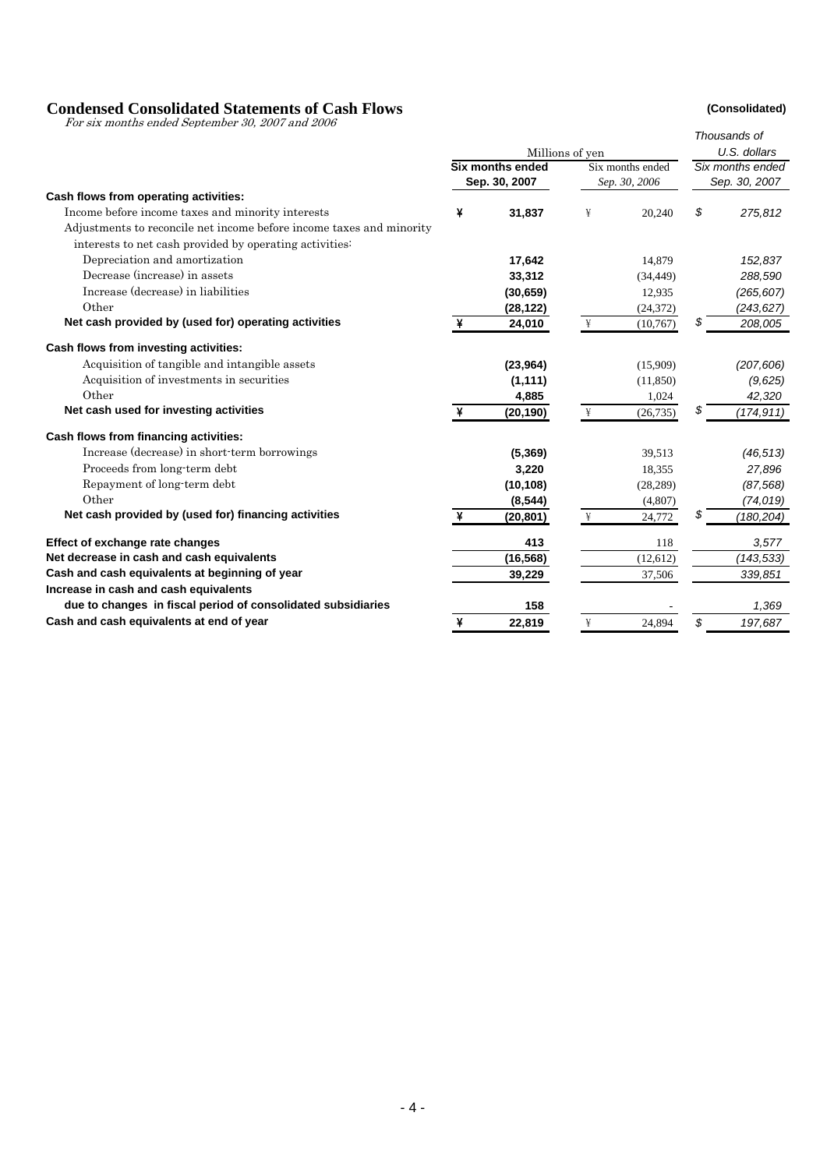#### **Condensed Consolidated Statements of Cash Flows (Consolidated)**

For six months ended September 30, 2007 and 2006

|                                                                      |   |                         | Thousands of    |                  |               |                  |
|----------------------------------------------------------------------|---|-------------------------|-----------------|------------------|---------------|------------------|
|                                                                      |   |                         | Millions of yen |                  |               | U.S. dollars     |
|                                                                      |   | <b>Six months ended</b> |                 | Six months ended |               | Six months ended |
|                                                                      |   | Sep. 30, 2007           |                 | Sep. 30, 2006    | Sep. 30, 2007 |                  |
| Cash flows from operating activities:                                |   |                         |                 |                  |               |                  |
| Income before income taxes and minority interests                    | ¥ | 31,837                  | ¥               | 20,240           | \$            | 275,812          |
| Adjustments to reconcile net income before income taxes and minority |   |                         |                 |                  |               |                  |
| interests to net cash provided by operating activities:              |   |                         |                 |                  |               |                  |
| Depreciation and amortization                                        |   | 17,642                  |                 | 14,879           |               | 152,837          |
| Decrease (increase) in assets                                        |   | 33,312                  |                 | (34, 449)        |               | 288,590          |
| Increase (decrease) in liabilities                                   |   | (30, 659)               |                 | 12,935           |               | (265, 607)       |
| Other                                                                |   | (28, 122)               |                 | (24, 372)        |               | (243, 627)       |
| Net cash provided by (used for) operating activities                 | ¥ | 24,010                  | ¥               | (10,767)         | S             | 208,005          |
| Cash flows from investing activities:                                |   |                         |                 |                  |               |                  |
| Acquisition of tangible and intangible assets                        |   | (23, 964)               |                 | (15,909)         |               | (207, 606)       |
| Acquisition of investments in securities                             |   | (1, 111)                |                 | (11, 850)        |               | (9,625)          |
| Other                                                                |   | 4,885                   |                 | 1,024            |               | 42,320           |
| Net cash used for investing activities                               | ¥ | (20, 190)               | ¥               | (26, 735)        | \$            | (174, 911)       |
| Cash flows from financing activities:                                |   |                         |                 |                  |               |                  |
| Increase (decrease) in short-term borrowings                         |   | (5, 369)                |                 | 39,513           |               | (46, 513)        |
| Proceeds from long-term debt                                         |   | 3,220                   |                 | 18,355           |               | 27,896           |
| Repayment of long-term debt                                          |   | (10, 108)               |                 | (28, 289)        |               | (87, 568)        |
| Other                                                                |   | (8, 544)                |                 | (4,807)          |               | (74, 019)        |
| Net cash provided by (used for) financing activities                 | ¥ | (20, 801)               | ¥               | 24,772           | \$            | (180,204)        |
| Effect of exchange rate changes                                      |   | 413                     |                 | 118              |               | 3,577            |
| Net decrease in cash and cash equivalents                            |   | (16, 568)               |                 | (12, 612)        |               | (143, 533)       |
| Cash and cash equivalents at beginning of year                       |   | 39,229                  |                 | 37,506           |               | 339,851          |
| Increase in cash and cash equivalents                                |   |                         |                 |                  |               |                  |
| due to changes in fiscal period of consolidated subsidiaries         |   | 158                     |                 |                  |               | 1,369            |
| Cash and cash equivalents at end of year                             | ¥ | 22,819                  | ¥               | 24,894           | \$            | 197,687          |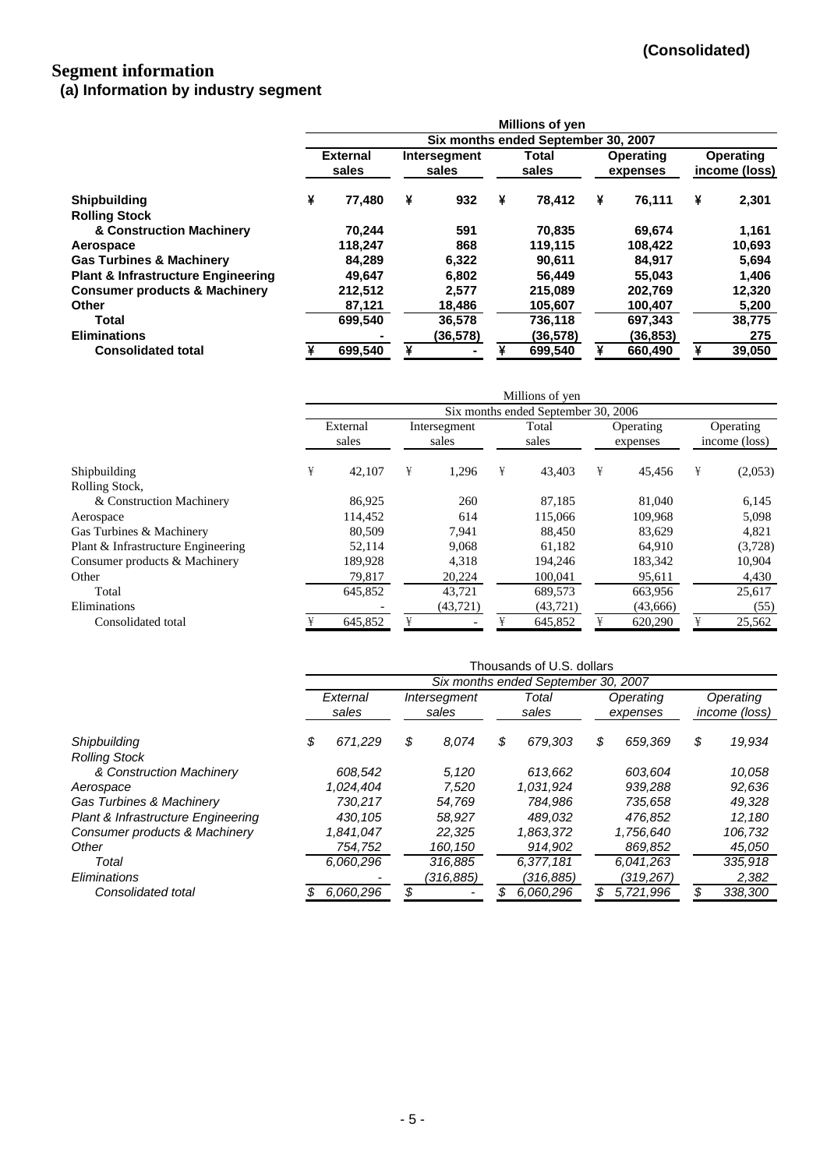### **Segment information (a) Information by industry segment**

|                                               |                          |         |                       |          |                | <b>Millions of yen</b>              |                       |           |   |                            |
|-----------------------------------------------|--------------------------|---------|-----------------------|----------|----------------|-------------------------------------|-----------------------|-----------|---|----------------------------|
|                                               |                          |         |                       |          |                | Six months ended September 30, 2007 |                       |           |   |                            |
|                                               | <b>External</b><br>sales |         | Intersegment<br>sales |          | Total<br>sales |                                     | Operating<br>expenses |           |   | Operating<br>income (loss) |
| <b>Shipbuilding</b>                           | ¥                        | 77.480  | ¥                     | 932      | ¥              | 78.412                              | ¥                     | 76,111    | ¥ | 2,301                      |
| <b>Rolling Stock</b>                          |                          |         |                       |          |                |                                     |                       |           |   |                            |
| & Construction Machinery                      |                          | 70,244  |                       | 591      |                | 70,835                              |                       | 69,674    |   | 1,161                      |
| Aerospace                                     |                          | 118,247 |                       | 868      |                | 119,115                             |                       | 108,422   |   | 10,693                     |
| <b>Gas Turbines &amp; Machinery</b>           |                          | 84.289  |                       | 6.322    |                | 90.611                              |                       | 84.917    |   | 5.694                      |
| <b>Plant &amp; Infrastructure Engineering</b> |                          | 49,647  |                       | 6.802    |                | 56.449                              |                       | 55,043    |   | 1,406                      |
| <b>Consumer products &amp; Machinery</b>      |                          | 212,512 |                       | 2,577    |                | 215.089                             |                       | 202.769   |   | 12,320                     |
| <b>Other</b>                                  |                          | 87,121  |                       | 18,486   |                | 105,607                             |                       | 100,407   |   | 5,200                      |
| Total                                         |                          | 699,540 |                       | 36,578   |                | 736.118                             |                       | 697,343   |   | 38,775                     |
| <b>Eliminations</b>                           |                          |         |                       | (36,578) |                | (36,578)                            |                       | (36, 853) |   | 275                        |
| <b>Consolidated total</b>                     |                          | 699,540 | ¥                     |          |                | 699.540                             | ¥                     | 660.490   | ¥ | 39,050                     |

|                                    |                   |         |                       |          |                | Millions of yen                     |                       |          |   |                            |
|------------------------------------|-------------------|---------|-----------------------|----------|----------------|-------------------------------------|-----------------------|----------|---|----------------------------|
|                                    |                   |         |                       |          |                | Six months ended September 30, 2006 |                       |          |   |                            |
|                                    | External<br>sales |         | Intersegment<br>sales |          | Total<br>sales |                                     | Operating<br>expenses |          |   | Operating<br>income (loss) |
| Shipbuilding                       | ¥                 | 42,107  | ¥                     | 1,296    | ¥              | 43,403                              | ¥                     | 45.456   | ¥ | (2,053)                    |
| Rolling Stock.                     |                   |         |                       |          |                |                                     |                       |          |   |                            |
| & Construction Machinery           |                   | 86,925  |                       | 260      |                | 87.185                              |                       | 81,040   |   | 6,145                      |
| Aerospace                          |                   | 114,452 |                       | 614      |                | 115,066                             |                       | 109,968  |   | 5,098                      |
| Gas Turbines & Machinery           |                   | 80,509  |                       | 7,941    |                | 88,450                              |                       | 83,629   |   | 4,821                      |
| Plant & Infrastructure Engineering |                   | 52,114  |                       | 9,068    |                | 61.182                              |                       | 64,910   |   | (3,728)                    |
| Consumer products & Machinery      |                   | 189,928 |                       | 4,318    |                | 194,246                             |                       | 183,342  |   | 10,904                     |
| Other                              |                   | 79,817  |                       | 20,224   |                | 100,041                             |                       | 95,611   |   | 4,430                      |
| Total                              |                   | 645,852 |                       | 43,721   |                | 689,573                             |                       | 663,956  |   | 25,617                     |
| Eliminations                       |                   |         |                       | (43,721) |                | (43, 721)                           |                       | (43,666) |   | (55)                       |
| Consolidated total                 |                   | 645,852 |                       |          |                | 645,852                             | ¥                     | 620,290  | ¥ | 25,562                     |

|                                     | Thousands of U.S. dollars |           |                       |           |                |                                     |                       |           |                                   |         |  |  |
|-------------------------------------|---------------------------|-----------|-----------------------|-----------|----------------|-------------------------------------|-----------------------|-----------|-----------------------------------|---------|--|--|
|                                     |                           |           |                       |           |                | Six months ended September 30, 2007 |                       |           |                                   |         |  |  |
|                                     | External<br>sales         |           | Intersegment<br>sales |           | Total<br>sales |                                     | Operating<br>expenses |           | Operating<br><i>income (loss)</i> |         |  |  |
| Shipbuilding                        | \$                        | 671,229   | \$                    | 8,074     | \$             | 679.303                             | \$                    | 659,369   | \$                                | 19,934  |  |  |
| <b>Rolling Stock</b>                |                           |           |                       |           |                |                                     |                       |           |                                   |         |  |  |
| & Construction Machinery            |                           | 608.542   |                       | 5.120     |                | 613.662                             |                       | 603.604   |                                   | 10,058  |  |  |
| Aerospace                           |                           | 1,024,404 |                       | 7.520     |                | 1.031.924                           |                       | 939.288   |                                   | 92,636  |  |  |
| <b>Gas Turbines &amp; Machinery</b> |                           | 730.217   |                       | 54.769    |                | 784.986                             |                       | 735.658   |                                   | 49,328  |  |  |
| Plant & Infrastructure Engineering  |                           | 430.105   |                       | 58.927    |                | 489.032                             |                       | 476.852   |                                   | 12,180  |  |  |
| Consumer products & Machinery       |                           | 1,841,047 |                       | 22.325    |                | 1,863,372                           |                       | 1,756,640 |                                   | 106,732 |  |  |
| Other                               |                           | 754,752   |                       | 160,150   |                | 914,902                             |                       | 869,852   |                                   | 45,050  |  |  |
| Total                               |                           | 6,060,296 |                       | 316,885   |                | 6,377,181                           |                       | 6.041.263 |                                   | 335,918 |  |  |
| Eliminations                        |                           |           |                       | (316,885) |                | (316,885)                           |                       | (319,267) |                                   | 2,382   |  |  |
| Consolidated total                  |                           | 6,060,296 |                       |           |                | 6,060,296                           |                       | 5,721,996 | \$                                | 338,300 |  |  |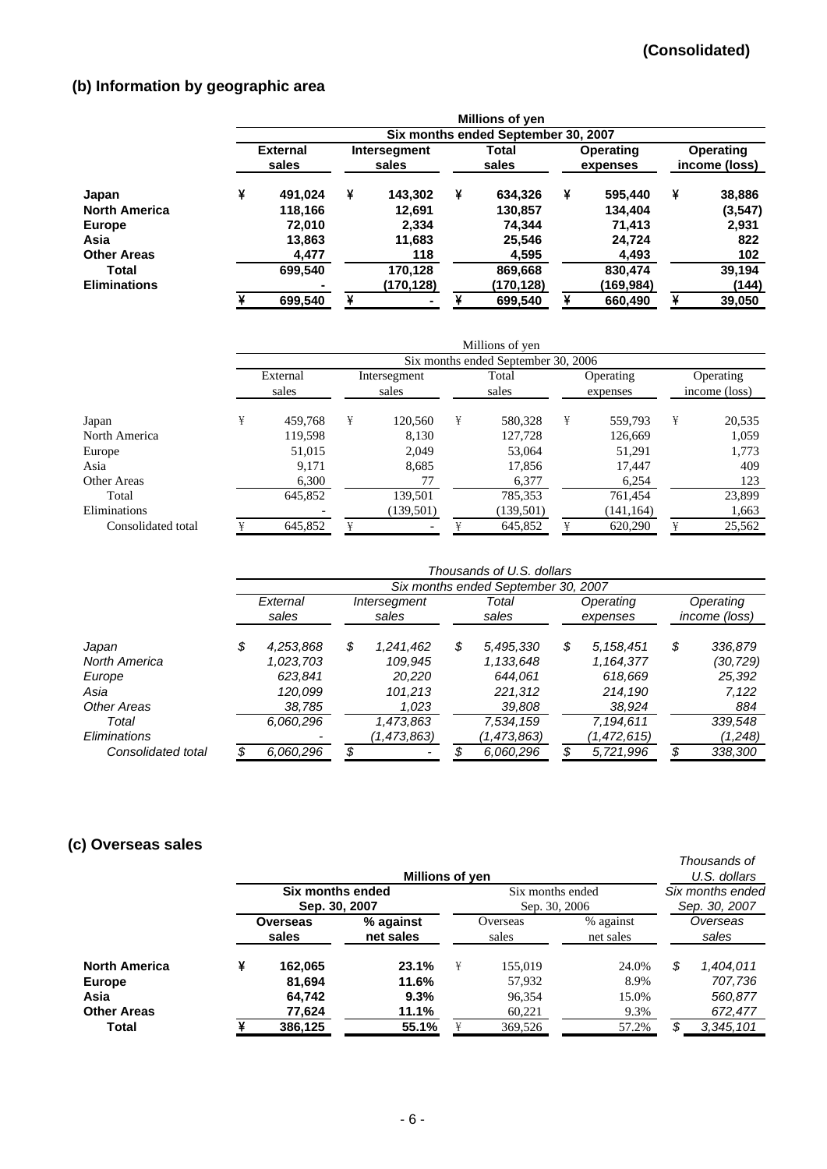# **(b) Information by geographic area**

|                      |                          |                                     |   |                       |   | Millions of yen |   |                              |                            |          |  |  |  |
|----------------------|--------------------------|-------------------------------------|---|-----------------------|---|-----------------|---|------------------------------|----------------------------|----------|--|--|--|
|                      |                          | Six months ended September 30, 2007 |   |                       |   |                 |   |                              |                            |          |  |  |  |
|                      | <b>External</b><br>sales |                                     |   | Intersegment<br>sales |   | Total<br>sales  |   | <b>Operating</b><br>expenses | Operating<br>income (loss) |          |  |  |  |
| Japan                | ¥                        | 491,024                             | ¥ | 143,302               | ¥ | 634,326         | ¥ | 595,440                      | ¥                          | 38,886   |  |  |  |
| <b>North America</b> |                          | 118,166                             |   | 12,691                |   | 130,857         |   | 134,404                      |                            | (3, 547) |  |  |  |
| Europe               |                          | 72,010                              |   | 2,334                 |   | 74.344          |   | 71.413                       |                            | 2,931    |  |  |  |
| Asia                 |                          | 13,863                              |   | 11,683                |   | 25,546          |   | 24,724                       |                            | 822      |  |  |  |
| <b>Other Areas</b>   |                          | 4.477                               |   | 118                   |   | 4,595           |   | 4,493                        |                            | 102      |  |  |  |
| Total                |                          | 699,540                             |   | 170,128               |   | 869,668         |   | 830,474                      |                            | 39,194   |  |  |  |
| <b>Eliminations</b>  |                          |                                     |   | (170,128)             |   | (170,128)       |   | (169,984)                    |                            | (144)    |  |  |  |
|                      |                          | 699,540                             |   |                       |   | 699,540         |   | 660,490                      |                            | 39,050   |  |  |  |

|                    |   |                   |   |                       |   | Millions of yen                     |   |                       |                            |        |
|--------------------|---|-------------------|---|-----------------------|---|-------------------------------------|---|-----------------------|----------------------------|--------|
|                    |   |                   |   |                       |   | Six months ended September 30, 2006 |   |                       |                            |        |
|                    |   | External<br>sales |   | Intersegment<br>sales |   | Total<br>sales                      |   | Operating<br>expenses | Operating<br>income (loss) |        |
| Japan              | ¥ | 459,768           | ¥ | 120,560               | ¥ | 580,328                             | ¥ | 559.793               | ¥                          | 20,535 |
| North America      |   | 119,598           |   | 8,130                 |   | 127,728                             |   | 126,669               |                            | 1,059  |
| Europe             |   | 51,015            |   | 2.049                 |   | 53,064                              |   | 51,291                |                            | 1,773  |
| Asia               |   | 9,171             |   | 8,685                 |   | 17,856                              |   | 17,447                |                            | 409    |
| Other Areas        |   | 6,300             |   | 77                    |   | 6,377                               |   | 6,254                 |                            | 123    |
| Total              |   | 645,852           |   | 139,501               |   | 785,353                             |   | 761,454               |                            | 23,899 |
| Eliminations       |   |                   |   | (139, 501)            |   | (139, 501)                          |   | (141, 164)            |                            | 1,663  |
| Consolidated total |   | 645,852           |   |                       |   | 645,852                             |   | 620,290               |                            | 25,562 |

|                    | Thousands of U.S. dollars |                                     |    |                       |    |                |    |                       |    |                            |  |  |  |
|--------------------|---------------------------|-------------------------------------|----|-----------------------|----|----------------|----|-----------------------|----|----------------------------|--|--|--|
|                    |                           | Six months ended September 30, 2007 |    |                       |    |                |    |                       |    |                            |  |  |  |
|                    | External<br>sales         |                                     |    | Intersegment<br>sales |    | Total<br>sales |    | Operating<br>expenses |    | Operating<br>income (loss) |  |  |  |
| Japan              | \$                        | 4,253,868                           | \$ | 1,241,462             | \$ | 5,495,330      | \$ | 5, 158, 451           | \$ | 336,879                    |  |  |  |
| North America      |                           | 1,023,703                           |    | 109.945               |    | 1,133,648      |    | 1,164,377             |    | (30,729)                   |  |  |  |
| Europe             |                           | 623.841                             |    | 20.220                |    | 644.061        |    | 618.669               |    | 25,392                     |  |  |  |
| Asia               |                           | 120.099                             |    | 101.213               |    | 221,312        |    | 214.190               |    | 7,122                      |  |  |  |
| Other Areas        |                           | 38,785                              |    | 1,023                 |    | 39,808         |    | 38,924                |    | 884                        |  |  |  |
| Total              |                           | 6,060,296                           |    | 1,473,863             |    | 7,534,159      |    | 7,194,611             |    | 339,548                    |  |  |  |
| Eliminations       |                           |                                     |    | (1,473,863)           |    | (1,473,863)    |    | (1,472,615)           |    | (1,248)                    |  |  |  |
| Consolidated total |                           | 6,060,296                           |    |                       |    | 6,060,296      |    | 5,721,996             |    | 338,300                    |  |  |  |

# **(c) Overseas sales**

|                      |                          | Millions of yen                   |                        |                   |                                   |                                   |                   |           |  |
|----------------------|--------------------------|-----------------------------------|------------------------|-------------------|-----------------------------------|-----------------------------------|-------------------|-----------|--|
|                      |                          | Six months ended<br>Sep. 30, 2007 |                        |                   | Six months ended<br>Sep. 30, 2006 | Six months ended<br>Sep. 30, 2007 |                   |           |  |
|                      | <b>Overseas</b><br>sales |                                   | % against<br>net sales | Overseas<br>sales |                                   | % against<br>net sales            | Overseas<br>sales |           |  |
| <b>North America</b> | ¥                        | 162,065                           | 23.1%                  | ¥                 | 155,019                           | 24.0%                             | S                 | 1,404,011 |  |
| <b>Europe</b>        |                          | 81,694                            | 11.6%                  |                   | 57,932                            | 8.9%                              |                   | 707,736   |  |
| Asia                 |                          | 64.742                            | 9.3%                   |                   | 96,354                            | 15.0%                             |                   | 560,877   |  |
| <b>Other Areas</b>   |                          | 77,624                            | 11.1%                  |                   | 60,221                            | 9.3%                              |                   | 672,477   |  |
| Total                |                          | 386,125                           | 55.1%                  |                   | 369,526                           | 57.2%                             | S                 | 3,345,101 |  |